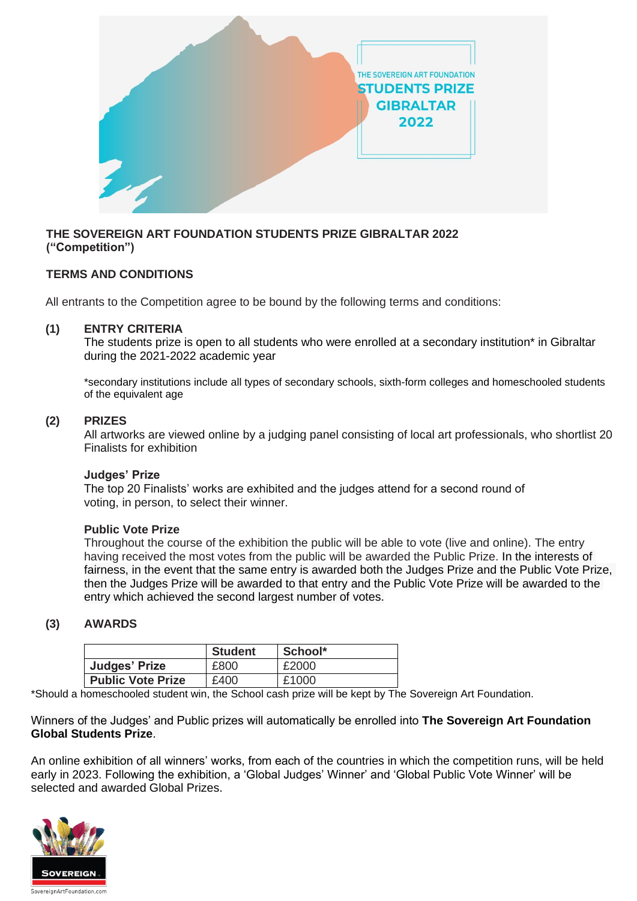

## **THE SOVEREIGN ART FOUNDATION STUDENTS PRIZE GIBRALTAR 2022 ("Competition")**

# **TERMS AND CONDITIONS**

All entrants to the Competition agree to be bound by the following terms and conditions:

## **(1) ENTRY CRITERIA**

The students prize is open to all students who were enrolled at a secondary institution\* in Gibraltar during the 2021-2022 academic year

\*secondary institutions include all types of secondary schools, sixth-form colleges and homeschooled students of the equivalent age

### **(2) PRIZES**

All artworks are viewed online by a judging panel consisting of local art professionals, who shortlist 20 Finalists for exhibition

### **Judges' Prize**

The top 20 Finalists' works are exhibited and the judges attend for a second round of voting, in person, to select their winner.

### **Public Vote Prize**

Throughout the course of the exhibition the public will be able to vote (live and online). The entry having received the most votes from the public will be awarded the Public Prize. In the interests of fairness, in the event that the same entry is awarded both the Judges Prize and the Public Vote Prize, then the Judges Prize will be awarded to that entry and the Public Vote Prize will be awarded to the entry which achieved the second largest number of votes.

## **(3) AWARDS**

|                          | <b>Student</b> | School* |
|--------------------------|----------------|---------|
| Judges' Prize            | £800           | £2000   |
| <b>Public Vote Prize</b> | £400           | £1000   |

\*Should a homeschooled student win, the School cash prize will be kept by The Sovereign Art Foundation.

Winners of the Judges' and Public prizes will automatically be enrolled into **The Sovereign Art Foundation Global Students Prize**.

An online exhibition of all winners' works, from each of the countries in which the competition runs, will be held early in 2023. Following the exhibition, a 'Global Judges' Winner' and 'Global Public Vote Winner' will be selected and awarded Global Prizes.

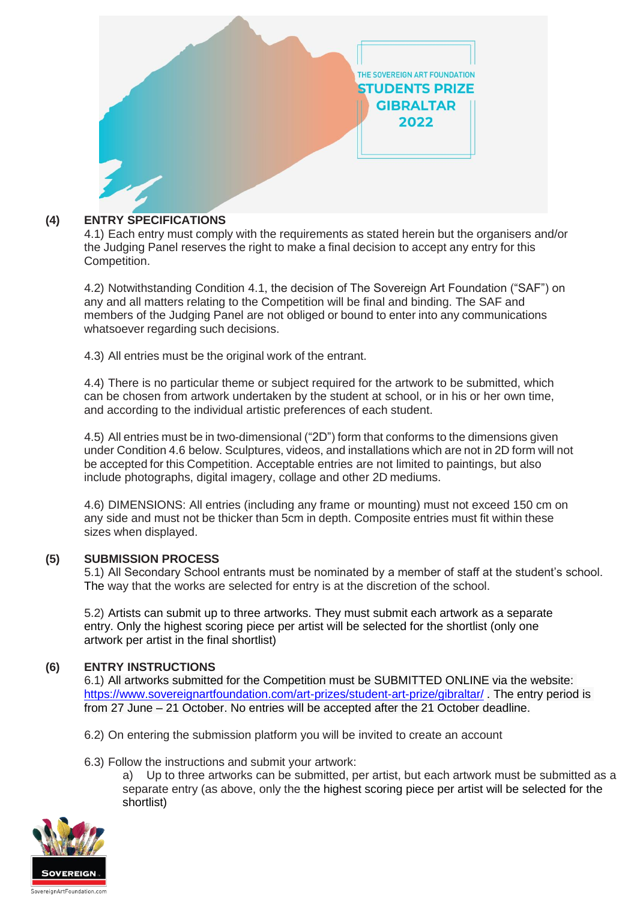

# **(4) ENTRY SPECIFICATIONS**

4.1) Each entry must comply with the requirements as stated herein but the organisers and/or the Judging Panel reserves the right to make a final decision to accept any entry for this Competition.

4.2) Notwithstanding Condition 4.1, the decision of The Sovereign Art Foundation ("SAF") on any and all matters relating to the Competition will be final and binding. The SAF and members of the Judging Panel are not obliged or bound to enter into any communications whatsoever regarding such decisions.

4.3) All entries must be the original work of the entrant.

4.4) There is no particular theme or subject required for the artwork to be submitted, which can be chosen from artwork undertaken by the student at school, or in his or her own time, and according to the individual artistic preferences of each student.

4.5) All entries must be in two-dimensional ("2D") form that conforms to the dimensions given under Condition 4.6 below. Sculptures, videos, and installations which are not in 2D form will not be accepted for this Competition. Acceptable entries are not limited to paintings, but also include photographs, digital imagery, collage and other 2D mediums.

4.6) DIMENSIONS: All entries (including any frame or mounting) must not exceed 150 cm on any side and must not be thicker than 5cm in depth. Composite entries must fit within these sizes when displayed.

## **(5) SUBMISSION PROCESS**

5.1) All Secondary School entrants must be nominated by a member of staff at the student's school. The way that the works are selected for entry is at the discretion of the school.

5.2) Artists can submit up to three artworks. They must submit each artwork as a separate entry. Only the highest scoring piece per artist will be selected for the shortlist (only one artwork per artist in the final shortlist)

## **(6) ENTRY INSTRUCTIONS**

6.1) All artworks submitted for the Competition must be SUBMITTED ONLINE via the website: <https://www.sovereignartfoundation.com/art-prizes/student-art-prize/gibraltar/> . The entry period is from 27 June – 21 October. No entries will be accepted after the 21 October deadline.

- 6.2) On entering the submission platform you will be invited to create an account
- 6.3) Follow the instructions and submit your artwork:

a) Up to three artworks can be submitted, per artist, but each artwork must be submitted as a separate entry (as above, only the the highest scoring piece per artist will be selected for the shortlist)

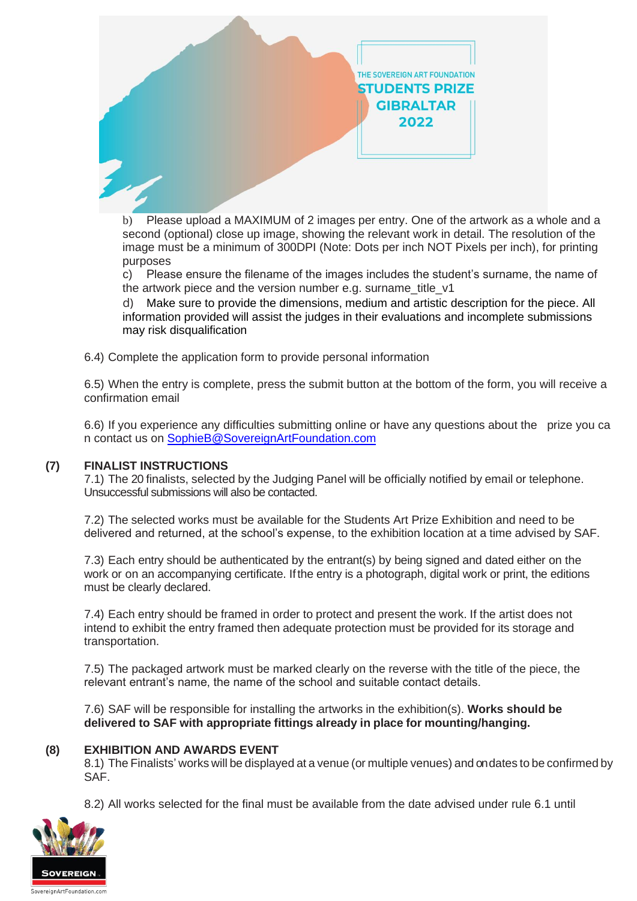

b) Please upload a MAXIMUM of 2 images per entry. One of the artwork as a whole and a second (optional) close up image, showing the relevant work in detail. The resolution of the image must be a minimum of 300DPI (Note: Dots per inch NOT Pixels per inch), for printing purposes

c) Please ensure the filename of the images includes the student's surname, the name of the artwork piece and the version number e.g. surname title v1

d) Make sure to provide the dimensions, medium and artistic description for the piece. All information provided will assist the judges in their evaluations and incomplete submissions may risk disqualification

6.4) Complete the application form to provide personal information

6.5) When the entry is complete, press the submit button at the bottom of the form, you will receive a confirmation email

6.6) If you experience any difficulties submitting online or have any questions about the prize you ca n contact us on [SophieB@SovereignArtFoundation.com](mailto:SophieB@SovereignArtFoundation.com)

## **(7) FINALIST INSTRUCTIONS**

7.1) The 20 finalists, selected by the Judging Panel will be officially notified by email or telephone. Unsuccessful submissions will also be contacted.

7.2) The selected works must be available for the Students Art Prize Exhibition and need to be delivered and returned, at the school's expense, to the exhibition location at a time advised by SAF.

7.3) Each entry should be authenticated by the entrant(s) by being signed and dated either on the work or on an accompanying certificate. Ifthe entry is a photograph, digital work or print, the editions must be clearly declared.

7.4) Each entry should be framed in order to protect and present the work. If the artist does not intend to exhibit the entry framed then adequate protection must be provided for its storage and transportation.

7.5) The packaged artwork must be marked clearly on the reverse with the title of the piece, the relevant entrant's name, the name of the school and suitable contact details.

7.6) SAF will be responsible for installing the artworks in the exhibition(s). **Works should be delivered to SAF with appropriate fittings already in place for mounting/hanging.**

### **(8) EXHIBITION AND AWARDS EVENT**

8.1) The Finalists' works will be displayed at a venue (or multiple venues) and on dates to be confirmed by SAF.

8.2) All works selected for the final must be available from the date advised under rule 6.1 until